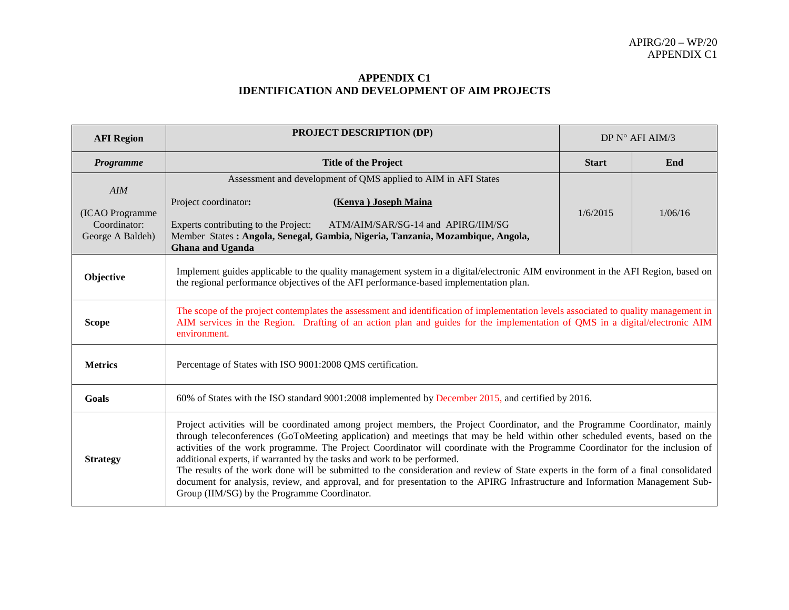## **APPENDIX C1 IDENTIFICATION AND DEVELOPMENT OF AIM PROJECTS**

| <b>AFI</b> Region                                          | <b>PROJECT DESCRIPTION (DP)</b><br>DP N° AFI AIM/3                                                                                                                                                                                                                                                                                                                                                                                                                                                                                                                                                                                                                                                                                                                                              |              |         |  |  |
|------------------------------------------------------------|-------------------------------------------------------------------------------------------------------------------------------------------------------------------------------------------------------------------------------------------------------------------------------------------------------------------------------------------------------------------------------------------------------------------------------------------------------------------------------------------------------------------------------------------------------------------------------------------------------------------------------------------------------------------------------------------------------------------------------------------------------------------------------------------------|--------------|---------|--|--|
| Programme                                                  | <b>Title of the Project</b>                                                                                                                                                                                                                                                                                                                                                                                                                                                                                                                                                                                                                                                                                                                                                                     | <b>Start</b> | End     |  |  |
| AIM<br>(ICAO Programme<br>Coordinator:<br>George A Baldeh) | Assessment and development of QMS applied to AIM in AFI States<br>Project coordinator:<br>(Kenya) Joseph Maina<br>Experts contributing to the Project:<br>ATM/AIM/SAR/SG-14 and APIRG/IIM/SG<br>Member States: Angola, Senegal, Gambia, Nigeria, Tanzania, Mozambique, Angola,<br>Ghana and Uganda                                                                                                                                                                                                                                                                                                                                                                                                                                                                                              | 1/6/2015     | 1/06/16 |  |  |
| Objective                                                  | Implement guides applicable to the quality management system in a digital/electronic AIM environment in the AFI Region, based on<br>the regional performance objectives of the AFI performance-based implementation plan.                                                                                                                                                                                                                                                                                                                                                                                                                                                                                                                                                                       |              |         |  |  |
| <b>Scope</b>                                               | The scope of the project contemplates the assessment and identification of implementation levels associated to quality management in<br>AIM services in the Region. Drafting of an action plan and guides for the implementation of QMS in a digital/electronic AIM<br>environment.                                                                                                                                                                                                                                                                                                                                                                                                                                                                                                             |              |         |  |  |
| <b>Metrics</b>                                             | Percentage of States with ISO 9001:2008 QMS certification.                                                                                                                                                                                                                                                                                                                                                                                                                                                                                                                                                                                                                                                                                                                                      |              |         |  |  |
| <b>Goals</b>                                               | 60% of States with the ISO standard 9001:2008 implemented by December 2015, and certified by 2016.                                                                                                                                                                                                                                                                                                                                                                                                                                                                                                                                                                                                                                                                                              |              |         |  |  |
| <b>Strategy</b>                                            | Project activities will be coordinated among project members, the Project Coordinator, and the Programme Coordinator, mainly<br>through teleconferences (GoToMeeting application) and meetings that may be held within other scheduled events, based on the<br>activities of the work programme. The Project Coordinator will coordinate with the Programme Coordinator for the inclusion of<br>additional experts, if warranted by the tasks and work to be performed.<br>The results of the work done will be submitted to the consideration and review of State experts in the form of a final consolidated<br>document for analysis, review, and approval, and for presentation to the APIRG Infrastructure and Information Management Sub-<br>Group (IIM/SG) by the Programme Coordinator. |              |         |  |  |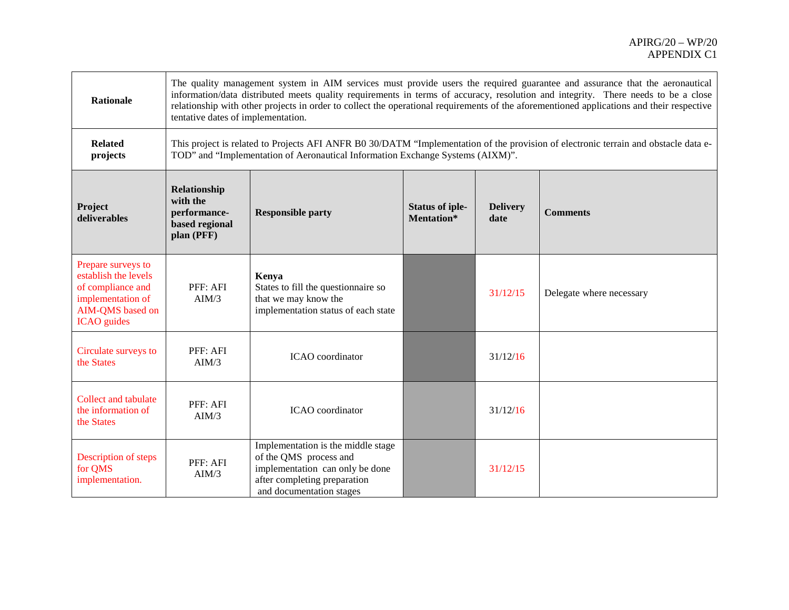| <b>Rationale</b>                                                                                                               | The quality management system in AIM services must provide users the required guarantee and assurance that the aeronautical<br>information/data distributed meets quality requirements in terms of accuracy, resolution and integrity. There needs to be a close<br>relationship with other projects in order to collect the operational requirements of the aforementioned applications and their respective<br>tentative dates of implementation. |                                                                                                                                                                                                                       |                                      |                         |                          |
|--------------------------------------------------------------------------------------------------------------------------------|-----------------------------------------------------------------------------------------------------------------------------------------------------------------------------------------------------------------------------------------------------------------------------------------------------------------------------------------------------------------------------------------------------------------------------------------------------|-----------------------------------------------------------------------------------------------------------------------------------------------------------------------------------------------------------------------|--------------------------------------|-------------------------|--------------------------|
| <b>Related</b><br>projects                                                                                                     |                                                                                                                                                                                                                                                                                                                                                                                                                                                     | This project is related to Projects AFI ANFR B0 30/DATM "Implementation of the provision of electronic terrain and obstacle data e-<br>TOD" and "Implementation of Aeronautical Information Exchange Systems (AIXM)". |                                      |                         |                          |
| Project<br>deliverables                                                                                                        | Relationship<br>with the<br>performance-<br><b>Responsible party</b><br>based regional<br>plan (PFF)                                                                                                                                                                                                                                                                                                                                                |                                                                                                                                                                                                                       | <b>Status of iple-</b><br>Mentation* | <b>Delivery</b><br>date | <b>Comments</b>          |
| Prepare surveys to<br>establish the levels<br>of compliance and<br>implementation of<br>AIM-QMS based on<br><b>ICAO</b> guides | PFF: AFI<br>AIM/3                                                                                                                                                                                                                                                                                                                                                                                                                                   | Kenya<br>States to fill the questionnaire so<br>that we may know the<br>implementation status of each state                                                                                                           |                                      | 31/12/15                | Delegate where necessary |
| Circulate surveys to<br>the States                                                                                             | PFF: AFI<br>AIM/3                                                                                                                                                                                                                                                                                                                                                                                                                                   | ICAO coordinator                                                                                                                                                                                                      |                                      | 31/12/16                |                          |
| <b>Collect and tabulate</b><br>the information of<br>the States                                                                | PFF: AFI<br>AIM/3                                                                                                                                                                                                                                                                                                                                                                                                                                   | ICAO coordinator                                                                                                                                                                                                      |                                      | 31/12/16                |                          |
| Description of steps<br>for QMS<br>implementation.                                                                             | PFF: AFI<br>AIM/3                                                                                                                                                                                                                                                                                                                                                                                                                                   | Implementation is the middle stage<br>of the QMS process and<br>implementation can only be done<br>after completing preparation<br>and documentation stages                                                           |                                      | 31/12/15                |                          |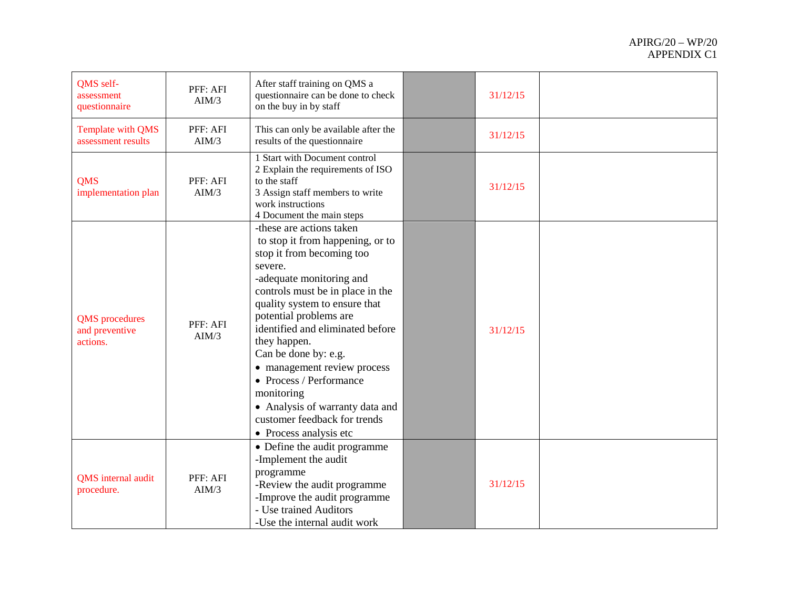| QMS self-<br>assessment<br>questionnaire            | PFF: AFI<br>AIM/3 | After staff training on QMS a<br>questionnaire can be done to check<br>on the buy in by staff                                                                                                                                                                                                                                                                                                                                                                                    | 31/12/15 |  |
|-----------------------------------------------------|-------------------|----------------------------------------------------------------------------------------------------------------------------------------------------------------------------------------------------------------------------------------------------------------------------------------------------------------------------------------------------------------------------------------------------------------------------------------------------------------------------------|----------|--|
| Template with QMS<br>assessment results             | PFF: AFI<br>AIM/3 | This can only be available after the<br>results of the questionnaire                                                                                                                                                                                                                                                                                                                                                                                                             | 31/12/15 |  |
| <b>QMS</b><br>implementation plan                   | PFF: AFI<br>AIM/3 | 1 Start with Document control<br>2 Explain the requirements of ISO<br>to the staff<br>3 Assign staff members to write<br>work instructions<br>4 Document the main steps                                                                                                                                                                                                                                                                                                          | 31/12/15 |  |
| <b>QMS</b> procedures<br>and preventive<br>actions. | PFF: AFI<br>AIM/3 | -these are actions taken<br>to stop it from happening, or to<br>stop it from becoming too<br>severe.<br>-adequate monitoring and<br>controls must be in place in the<br>quality system to ensure that<br>potential problems are<br>identified and eliminated before<br>they happen.<br>Can be done by: e.g.<br>• management review process<br>• Process / Performance<br>monitoring<br>• Analysis of warranty data and<br>customer feedback for trends<br>• Process analysis etc | 31/12/15 |  |
| QMS internal audit<br>procedure.                    | PFF: AFI<br>AIM/3 | • Define the audit programme<br>-Implement the audit<br>programme<br>-Review the audit programme<br>-Improve the audit programme<br>- Use trained Auditors<br>-Use the internal audit work                                                                                                                                                                                                                                                                                       | 31/12/15 |  |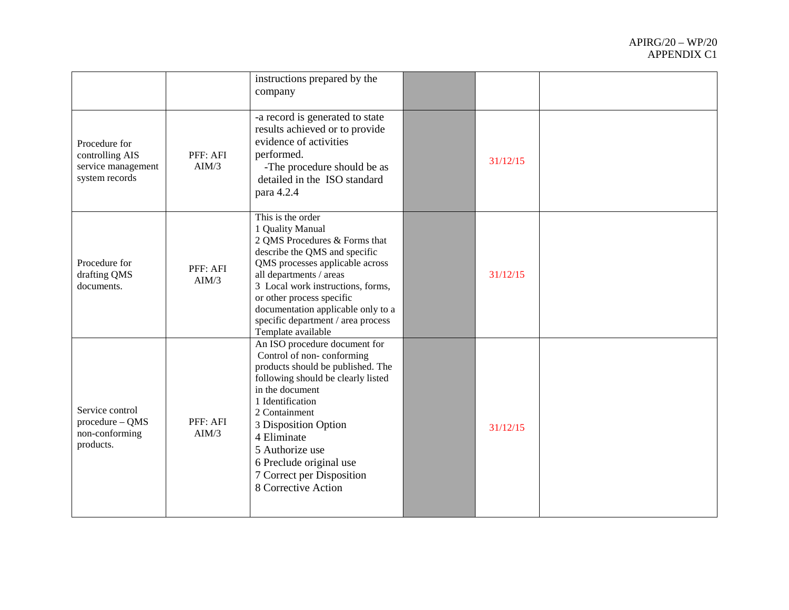|                                                                          |                   | instructions prepared by the<br>company                                                                                                                                                                                                                                                                                                   |          |  |
|--------------------------------------------------------------------------|-------------------|-------------------------------------------------------------------------------------------------------------------------------------------------------------------------------------------------------------------------------------------------------------------------------------------------------------------------------------------|----------|--|
| Procedure for<br>controlling AIS<br>service management<br>system records | PFF: AFI<br>AIM/3 | -a record is generated to state<br>results achieved or to provide<br>evidence of activities<br>performed.<br>-The procedure should be as<br>detailed in the ISO standard<br>para 4.2.4                                                                                                                                                    | 31/12/15 |  |
| Procedure for<br>drafting QMS<br>documents.                              | PFF: AFI<br>AIM/3 | This is the order<br>1 Quality Manual<br>2 QMS Procedures & Forms that<br>describe the QMS and specific<br>QMS processes applicable across<br>all departments / areas<br>3 Local work instructions, forms,<br>or other process specific<br>documentation applicable only to a<br>specific department / area process<br>Template available | 31/12/15 |  |
| Service control<br>procedure - QMS<br>non-conforming<br>products.        | PFF: AFI<br>AIM/3 | An ISO procedure document for<br>Control of non-conforming<br>products should be published. The<br>following should be clearly listed<br>in the document<br>1 Identification<br>2 Containment<br>3 Disposition Option<br>4 Eliminate<br>5 Authorize use<br>6 Preclude original use<br>7 Correct per Disposition<br>8 Corrective Action    | 31/12/15 |  |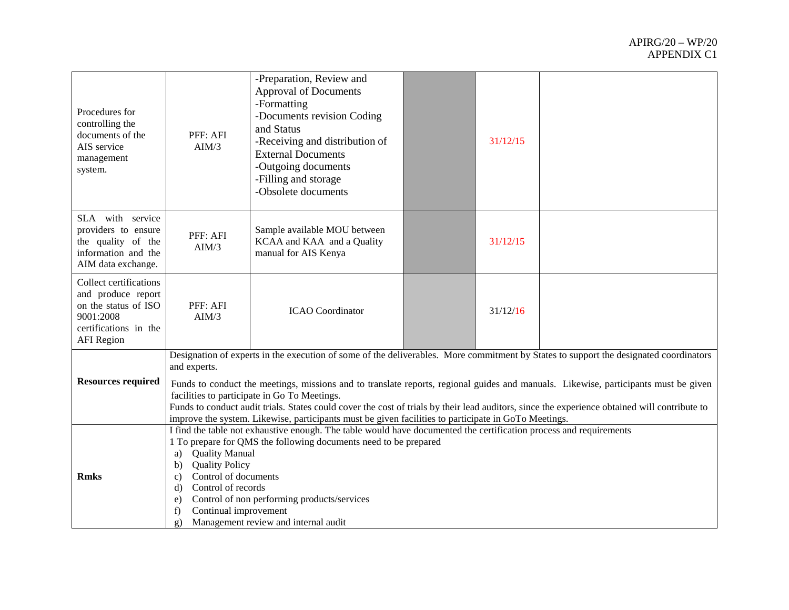| Procedures for<br>controlling the<br>documents of the<br>AIS service<br>management<br>system.                                   | PFF: AFI<br>AIM/3                                                                                                                                                                                                                                                                                                                                                                                                                                                                                                                                                                                     | -Preparation, Review and<br><b>Approval of Documents</b><br>-Formatting<br>-Documents revision Coding<br>and Status<br>-Receiving and distribution of<br><b>External Documents</b><br>-Outgoing documents<br>-Filling and storage<br>-Obsolete documents |  | 31/12/15 |  |
|---------------------------------------------------------------------------------------------------------------------------------|-------------------------------------------------------------------------------------------------------------------------------------------------------------------------------------------------------------------------------------------------------------------------------------------------------------------------------------------------------------------------------------------------------------------------------------------------------------------------------------------------------------------------------------------------------------------------------------------------------|----------------------------------------------------------------------------------------------------------------------------------------------------------------------------------------------------------------------------------------------------------|--|----------|--|
| SLA with service<br>providers to ensure<br>the quality of the<br>information and the<br>AIM data exchange.                      | Sample available MOU between<br>PFF: AFI<br>KCAA and KAA and a Quality<br>AIM/3<br>manual for AIS Kenya                                                                                                                                                                                                                                                                                                                                                                                                                                                                                               |                                                                                                                                                                                                                                                          |  | 31/12/15 |  |
| Collect certifications<br>and produce report<br>on the status of ISO<br>9001:2008<br>certifications in the<br><b>AFI</b> Region | PFF: AFI<br>AIM/3                                                                                                                                                                                                                                                                                                                                                                                                                                                                                                                                                                                     | <b>ICAO</b> Coordinator                                                                                                                                                                                                                                  |  | 31/12/16 |  |
| <b>Resources required</b>                                                                                                       | Designation of experts in the execution of some of the deliverables. More commitment by States to support the designated coordinators<br>and experts.<br>Funds to conduct the meetings, missions and to translate reports, regional guides and manuals. Likewise, participants must be given<br>facilities to participate in Go To Meetings.<br>Funds to conduct audit trials. States could cover the cost of trials by their lead auditors, since the experience obtained will contribute to<br>improve the system. Likewise, participants must be given facilities to participate in GoTo Meetings. |                                                                                                                                                                                                                                                          |  |          |  |
| <b>Rmks</b>                                                                                                                     | I find the table not exhaustive enough. The table would have documented the certification process and requirements<br>1 To prepare for QMS the following documents need to be prepared<br><b>Quality Manual</b><br>a)<br><b>Quality Policy</b><br>b)<br>Control of documents<br>$\mathbf{c}$<br>Control of records<br>$\mathbf{d}$<br>Control of non performing products/services<br>e)<br>Continual improvement<br>f)<br>Management review and internal audit<br>$\mathbf{g}$ )                                                                                                                      |                                                                                                                                                                                                                                                          |  |          |  |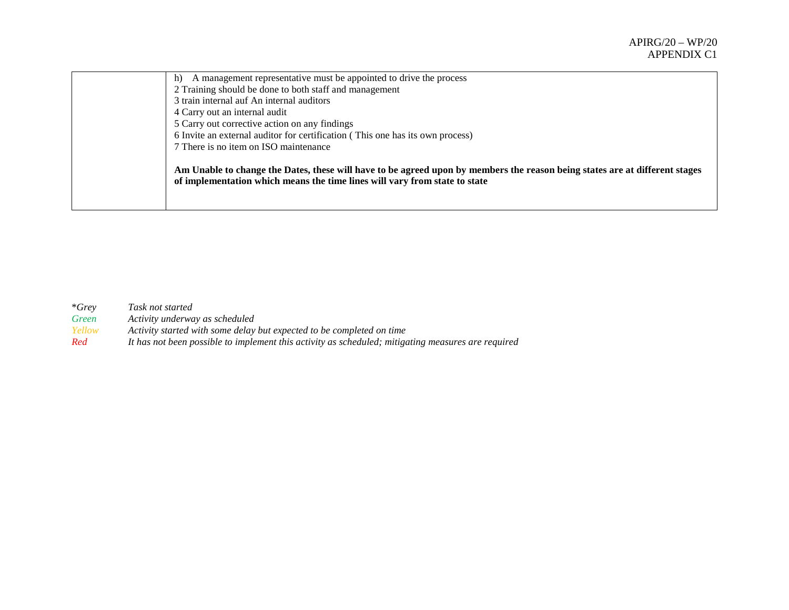| A management representative must be appointed to drive the process<br>h)                                                                                                                                  |
|-----------------------------------------------------------------------------------------------------------------------------------------------------------------------------------------------------------|
| 2 Training should be done to both staff and management                                                                                                                                                    |
| 3 train internal auf An internal auditors                                                                                                                                                                 |
| 4 Carry out an internal audit                                                                                                                                                                             |
| 5 Carry out corrective action on any findings                                                                                                                                                             |
| 6 Invite an external auditor for certification (This one has its own process)                                                                                                                             |
| 7 There is no item on ISO maintenance                                                                                                                                                                     |
| Am Unable to change the Dates, these will have to be agreed upon by members the reason being states are at different stages<br>of implementation which means the time lines will vary from state to state |

| $*Grev$ | Task not started                                                                                   |
|---------|----------------------------------------------------------------------------------------------------|
| Green   | Activity underway as scheduled                                                                     |
| Yellow  | Activity started with some delay but expected to be completed on time                              |
| Red     | It has not been possible to implement this activity as scheduled; mitigating measures are required |